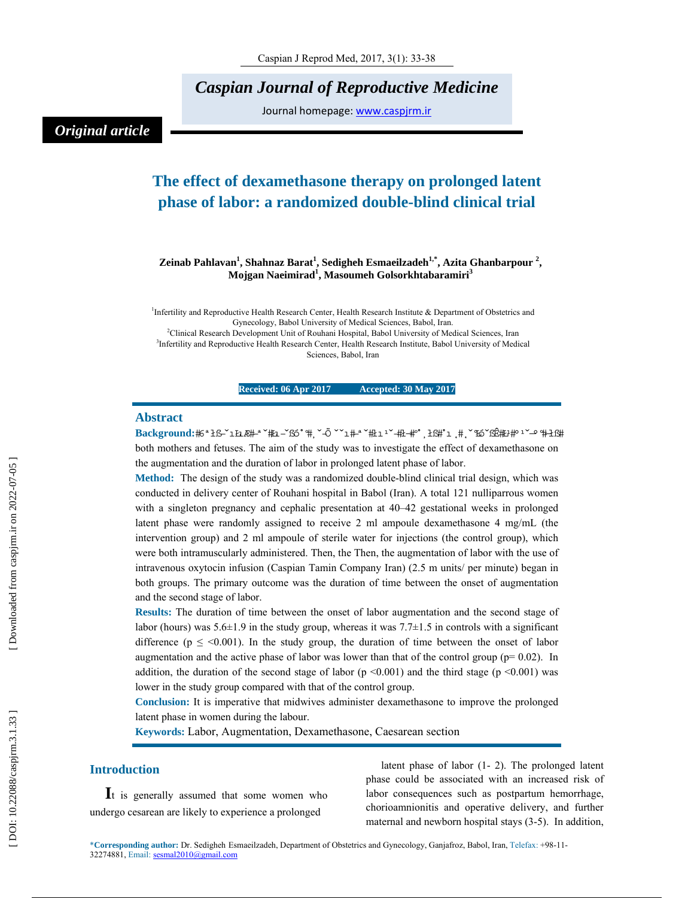*Caspian Journal of Reproductive Medicine* 

Journal homepage: www.caspjrm.ir

## *Original article*

# **The effect of dexamethasone therapy on prolonged latent phase of labor: a randomized double-blind clinical trial**

#### **Zeinab Pahlavan 1 , Shahnaz Barat 1 , Sedigheh Esmaeilzadeh1,\*, Azita Ghanbarpour 2 , Mojgan Naeimirad 1 , Masoumeh Golsorkhtabaramiri 3**

<sup>1</sup>Infertility and Reproductive Health Research Center, Health Research Institute & Department of Obstetrics and Gynecology, Babol University of Medical Sciences, Babol, Iran. 2 Clinical Research Development Unit of Rouhani Hospital, Babol University of Medical Sciences, Iran <sup>3</sup>Infertility and Reproductive Health Research Center, Health Research Institute, Babol University of Medical Sciences, Babol, Iran

**Received: 06 Apr 2017 Accepted: 30 May 2017** 

#### **Abstract**

**Background:#S\*1f1&#-\*`#z-`fxS\*#,`-Ö ``1#-\*`#z-1`-#z-#°, }f:#\*1 ,#', `Fx^YcG:#z+#^1^-9^#-}f:#** both mothers and fetuses. The aim of the study was to investigate the effect of dexamethasone on the augmentation and the duration of labor in prolonged latent phase of labor.

**Method:** The design of the study was a randomized double-blind clinical trial design, which was conducted in delivery center of Rouhani hospital in Babol (Iran). A total 121 nulliparrous women with a singleton pregnancy and cephalic presentation at 40–42 gestational weeks in prolonged latent phase were randomly assigned to receive 2 ml ampoule dexamethasone 4 mg/mL (the intervention group) and 2 ml ampoule of sterile water for injections (the control group), which were both intramuscularly administered. Then, the Then, the augmentation of labor with the use of intravenous oxytocin infusion (Caspian Tamin Company Iran) (2.5 m units/ per minute) began in both groups. The primary outcome was the duration of time between the onset of augmentation and the second stage of labor.

**Results:** The duration of time between the onset of labor augmentation and the second stage of labor (hours) was  $5.6\pm1.9$  in the study group, whereas it was  $7.7\pm1.5$  in controls with a significant difference ( $p \leq 0.001$ ). In the study group, the duration of time between the onset of labor augmentation and the active phase of labor was lower than that of the control group ( $p= 0.02$ ). In addition, the duration of the second stage of labor ( $p \le 0.001$ ) and the third stage ( $p \le 0.001$ ) was lower in the study group compared with that of the control group.

**Conclusion:** It is imperative that midwives administer dexamethasone to improve the prolonged latent phase in women during the labour.

**Keywords:** Labor, Augmentation, Dexamethasone, Caesarean section

**Introduction**<br>**I**t is generally assumed that some women who undergo cesarean are likely to experience a prolonged

latent phase of labor (1- 2). The prolonged latent phase could be associated with an increased risk of labor consequences such as postpartum hemorrhage, chorioamnionitis and operative delivery, and further maternal and newborn hospital stays (3-5). In addition,

\***Corresponding author:** Dr. Sedigheh Esmaeilzadeh, Department of Obstetrics and Gynecology, Ganjafroz, Babol, Iran, Telefax: +98-11- 32274881, Email: sesmal2010@gmail.com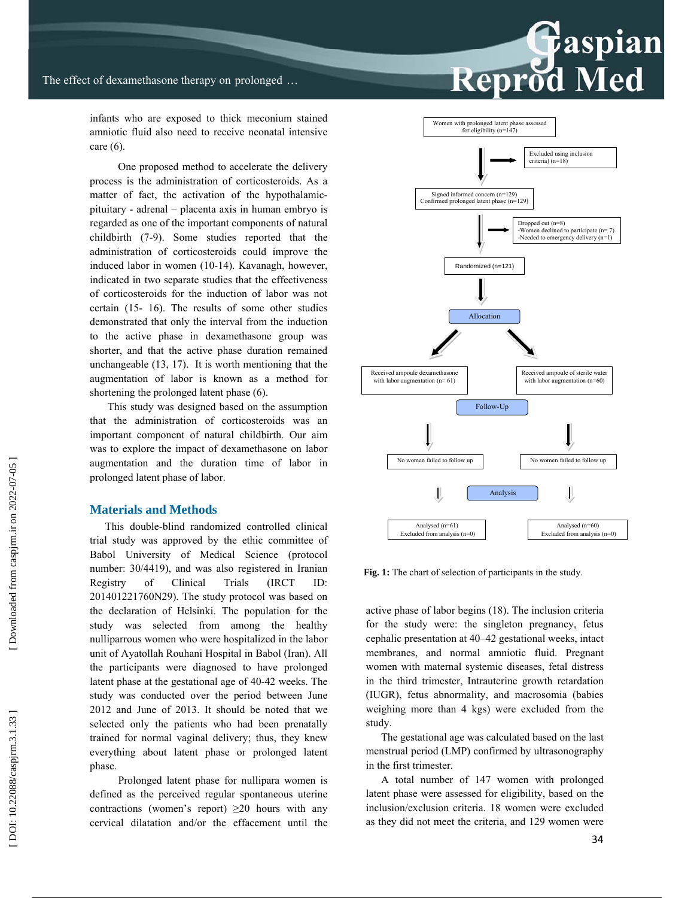infants who are exposed to thick meconium stained amniotic fluid also need to receive neonatal intensive care (6).

 One proposed method to accelerate the delivery process is the administration of corticosteroids. As a matter of fact, the activation of the hypothalamicpituitary - adrenal – placenta axis in human embryo is regarded as one of the important components of natural childbirth (7-9). Some studies reported that the administration of corticosteroids could improve the induced labor in women (10-14). Kavanagh, however, indicated in two separate studies that the effectiveness of corticosteroids for the induction of labor was not certain (15- 16). The results of some other studies demonstrated that only the interval from the induction to the active phase in dexamethasone group was shorter, and that the active phase duration remained unchangeable (13, 17). It is worth mentioning that the augmentation of labor is known as a method for shortening the prolonged latent phase (6).

 This study was designed based on the assumption that the administration of corticosteroids was an important component of natural childbirth. Our aim was to explore the impact of dexamethasone on labor augmentation and the duration time of labor in prolonged latent phase of labor.

#### **Materials and Methods**

This double-blind randomized controlled clinical trial study was approved by the ethic committee of Babol University of Medical Science (protocol number: 30/4419), and was also registered in Iranian Registry of Clinical Trials (IRCT ID: 201401221760N29). The study protocol was based on the declaration of Helsinki. The population for the study was selected from among the healthy nulliparrous women who were hospitalized in the labor unit of Ayatollah Rouhani Hospital in Babol (Iran). All the participants were diagnosed to have prolonged latent phase at the gestational age of 40-42 weeks. The study was conducted over the period between June 2012 and June of 2013. It should be noted that we selected only the patients who had been prenatally trained for normal vaginal delivery; thus, they knew everything about latent phase or prolonged latent phase.

 Prolonged latent phase for nullipara women is defined as the perceived regular spontaneous uterine contractions (women's report)  $\geq 20$  hours with any cervical dilatation and/or the effacement until the



**Fig. 1:** The chart of selection of participants in the study.

active phase of labor begins (18). The inclusion criteria for the study were: the singleton pregnancy, fetus cephalic presentation at 40–42 gestational weeks, intact membranes, and normal amniotic fluid. Pregnant women with maternal systemic diseases, fetal distress in the third trimester, Intrauterine growth retardation (IUGR), fetus abnormality, and macrosomia (babies weighing more than 4 kgs) were excluded from the study.

The gestational age was calculated based on the last menstrual period (LMP) confirmed by ultrasonography in the first trimester.

A total number of 147 women with prolonged latent phase were assessed for eligibility, based on the inclusion/exclusion criteria. 18 women were excluded as they did not meet the criteria, and 129 women were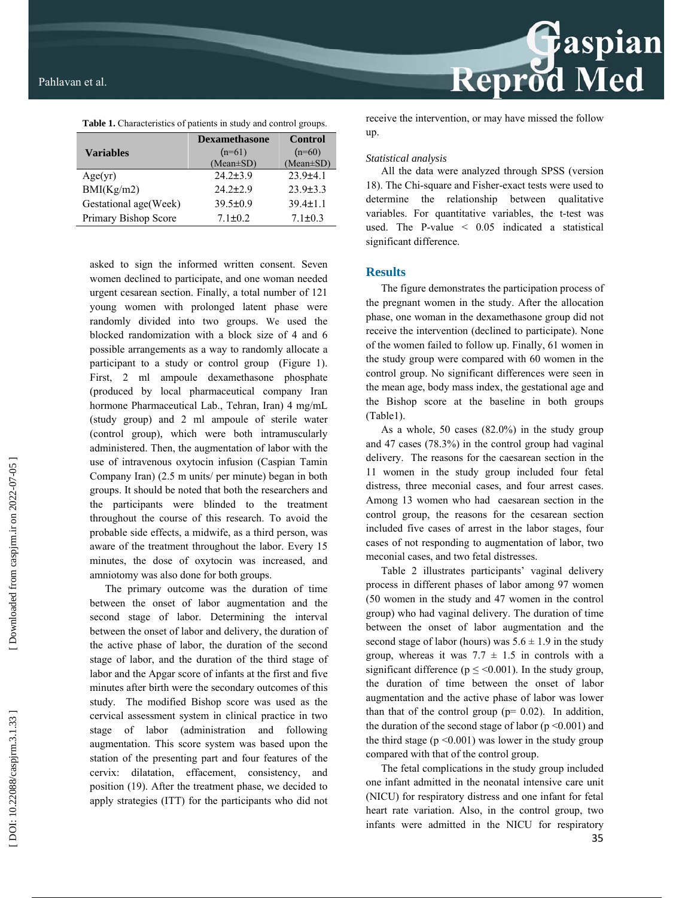

**Table 1.** Characteristics of patients in study and control groups.

|                       | <b>Dexamethasone</b> | <b>Control</b>  |  |
|-----------------------|----------------------|-----------------|--|
| <b>Variables</b>      | $(n=61)$             | $(n=60)$        |  |
|                       | $(Mean \pm SD)$      | $(Mean \pm SD)$ |  |
| Age(yr)               | $24.2 \pm 3.9$       | $23.9+4.1$      |  |
| BMI(Kg/m2)            | $24.2 \pm 2.9$       | $23.9 \pm 3.3$  |  |
| Gestational age(Week) | $39.5 \pm 0.9$       | $39.4 \pm 1.1$  |  |
| Primary Bishop Score  | $7.1 \pm 0.2$        | $71+03$         |  |
|                       |                      |                 |  |

asked to sign the informed written consent. Seven women declined to participate, and one woman needed urgent cesarean section. Finally, a total number of 121 young women with prolonged latent phase were randomly divided into two groups. We used the blocked randomization with a block size of 4 and 6 possible arrangements as a way to randomly allocate a participant to a study or control group (Figure 1). First, 2 ml ampoule dexamethasone phosphate (produced by local pharmaceutical company Iran hormone Pharmaceutical Lab., Tehran, Iran) 4 mg/mL (study group) and 2 ml ampoule of sterile water (control group), which were both intramuscularly administered. Then, the augmentation of labor with the use of intravenous oxytocin infusion (Caspian Tamin Company Iran) (2.5 m units/ per minute) began in both groups. It should be noted that both the researchers and the participants were blinded to the treatment throughout the course of this research. To avoid the probable side effects, a midwife, as a third person, was aware of the treatment throughout the labor. Every 15 minutes, the dose of oxytocin was increased, and amniotomy was also done for both groups.

The primary outcome was the duration of time between the onset of labor augmentation and the second stage of labor. Determining the interval between the onset of labor and delivery, the duration of the active phase of labor, the duration of the second stage of labor, and the duration of the third stage of labor and the Apgar score of infants at the first and five minutes after birth were the secondary outcomes of this study. The modified Bishop score was used as the cervical assessment system in clinical practice in two stage of labor (administration and following augmentation. This score system was based upon the station of the presenting part and four features of the cervix: dilatation, effacement, consistency, and position (19). After the treatment phase, we decided to apply strategies (ITT) for the participants who did not

receive the intervention, or may have missed the follow up.

#### *Statistical analysis*

All the data were analyzed through SPSS (version 18). The Chi-square and Fisher-exact tests were used to determine the relationship between qualitative variables. For quantitative variables, the t-test was used. The P-value < 0.05 indicated a statistical significant difference.

#### **Results**

The figure demonstrates the participation process of the pregnant women in the study. After the allocation phase, one woman in the dexamethasone group did not receive the intervention (declined to participate). None of the women failed to follow up. Finally, 61 women in the study group were compared with 60 women in the control group. No significant differences were seen in the mean age, body mass index, the gestational age and the Bishop score at the baseline in both groups (Table1).

As a whole, 50 cases (82.0%) in the study group and 47 cases (78.3%) in the control group had vaginal delivery. The reasons for the caesarean section in the 11 women in the study group included four fetal distress, three meconial cases, and four arrest cases. Among 13 women who had caesarean section in the control group, the reasons for the cesarean section included five cases of arrest in the labor stages, four cases of not responding to augmentation of labor, two meconial cases, and two fetal distresses.

Table 2 illustrates participants' vaginal delivery process in different phases of labor among 97 women (50 women in the study and 47 women in the control group) who had vaginal delivery. The duration of time between the onset of labor augmentation and the second stage of labor (hours) was  $5.6 \pm 1.9$  in the study group, whereas it was  $7.7 \pm 1.5$  in controls with a significant difference ( $p \leq 0.001$ ). In the study group, the duration of time between the onset of labor augmentation and the active phase of labor was lower than that of the control group ( $p= 0.02$ ). In addition, the duration of the second stage of labor ( $p \le 0.001$ ) and the third stage  $(p \le 0.001)$  was lower in the study group compared with that of the control group.

The fetal complications in the study group included one infant admitted in the neonatal intensive care unit (NICU) for respiratory distress and one infant for fetal heart rate variation. Also, in the control group, two infants were admitted in the NICU for respiratory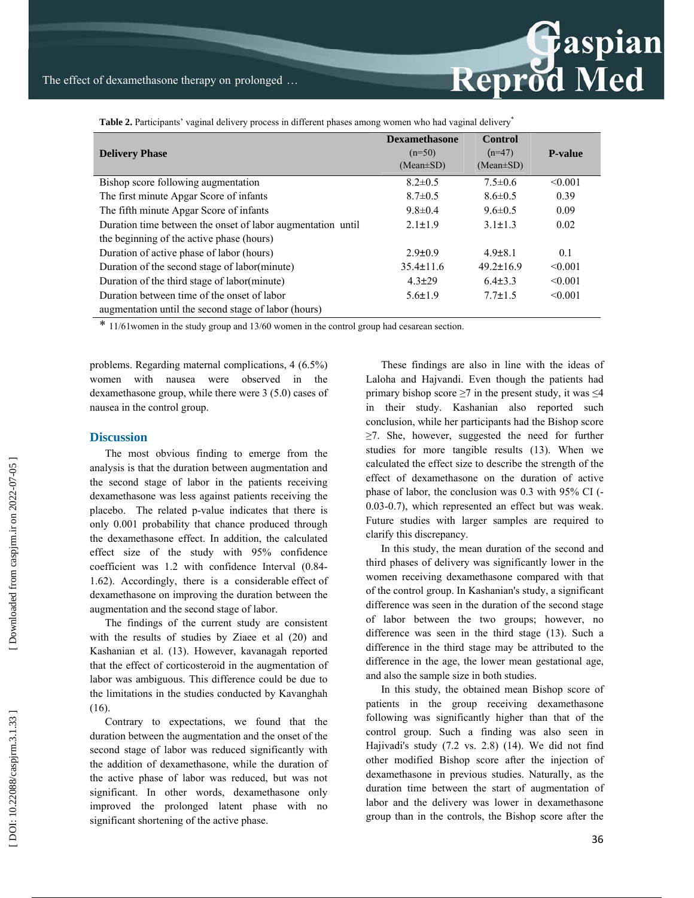| Table 2. Participants' vaginal delivery process in different phases among women who had vaginal delivery* |  |  |  |
|-----------------------------------------------------------------------------------------------------------|--|--|--|
|                                                                                                           |  |  |  |

| <b>Delivery Phase</b>                                       | $(n=50)$        | $(n=47)$        | <b>P-value</b> |
|-------------------------------------------------------------|-----------------|-----------------|----------------|
|                                                             | $(Mean \pm SD)$ | $(Mean \pm SD)$ |                |
| Bishop score following augmentation                         | $8.2 \pm 0.5$   | $7.5 \pm 0.6$   | < 0.001        |
| The first minute Apgar Score of infants                     | $8.7 \pm 0.5$   | $8.6 \pm 0.5$   | 0.39           |
| The fifth minute Apgar Score of infants                     | $9.8 \pm 0.4$   | $9.6 \pm 0.5$   | 0.09           |
| Duration time between the onset of labor augmentation until | $2.1 \pm 1.9$   | $3.1 \pm 1.3$   | 0.02           |
| the beginning of the active phase (hours)                   |                 |                 |                |
| Duration of active phase of labor (hours)                   | $2.9 \pm 0.9$   | $4.9 \pm 8.1$   | 0.1            |
| Duration of the second stage of labor(minute)               | $35.4 \pm 11.6$ | $49.2 \pm 16.9$ | < 0.001        |
| Duration of the third stage of labor(minute)                | $4.3 \pm 29$    | $6.4 \pm 3.3$   | < 0.001        |
| Duration between time of the onset of labor                 | $5.6 \pm 1.9$   | $7.7 \pm 1.5$   | < 0.001        |
| augmentation until the second stage of labor (hours)        |                 |                 |                |

\* 11/61women in the study group and 13/60 women in the control group had cesarean section.

problems. Regarding maternal complications, 4 (6.5%) women with nausea were observed in the dexamethasone group, while there were 3 (5.0) cases of nausea in the control group.

#### **Discussion**

The most obvious finding to emerge from the analysis is that the duration between augmentation and the second stage of labor in the patients receiving dexamethasone was less against patients receiving the placebo. The related p-value indicates that there is only 0.001 probability that chance produced through the dexamethasone effect. In addition, the calculated effect size of the study with 95% confidence coefficient was 1.2 with confidence Interval (0.84- 1.62). Accordingly, there is a considerable effect of dexamethasone on improving the duration between the augmentation and the second stage of labor.

The findings of the current study are consistent with the results of studies by Ziaee et al (20) and Kashanian et al. (13). However, kavanagah reported that the effect of corticosteroid in the augmentation of labor was ambiguous. This difference could be due to the limitations in the studies conducted by Kavanghah (16).

Contrary to expectations, we found that the duration between the augmentation and the onset of the second stage of labor was reduced significantly with the addition of dexamethasone, while the duration of the active phase of labor was reduced, but was not significant. In other words, dexamethasone only improved the prolonged latent phase with no significant shortening of the active phase.

These findings are also in line with the ideas of Laloha and Hajvandi. Even though the patients had primary bishop score  $\geq 7$  in the present study, it was  $\leq 4$ in their study. Kashanian also reported such conclusion, while her participants had the Bishop score ≥7. She, however, suggested the need for further studies for more tangible results (13). When we calculated the effect size to describe the strength of the effect of dexamethasone on the duration of active phase of labor, the conclusion was 0.3 with 95% CI (- 0.03-0.7), which represented an effect but was weak. Future studies with larger samples are required to clarify this discrepancy.

In this study, the mean duration of the second and third phases of delivery was significantly lower in the women receiving dexamethasone compared with that of the control group. In Kashanian's study, a significant difference was seen in the duration of the second stage of labor between the two groups; however, no difference was seen in the third stage (13). Such a difference in the third stage may be attributed to the difference in the age, the lower mean gestational age, and also the sample size in both studies.

In this study, the obtained mean Bishop score of patients in the group receiving dexamethasone following was significantly higher than that of the control group. Such a finding was also seen in Hajivadi's study (7.2 vs. 2.8) (14). We did not find other modified Bishop score after the injection of dexamethasone in previous studies. Naturally, as the duration time between the start of augmentation of labor and the delivery was lower in dexamethasone group than in the controls, the Bishop score after the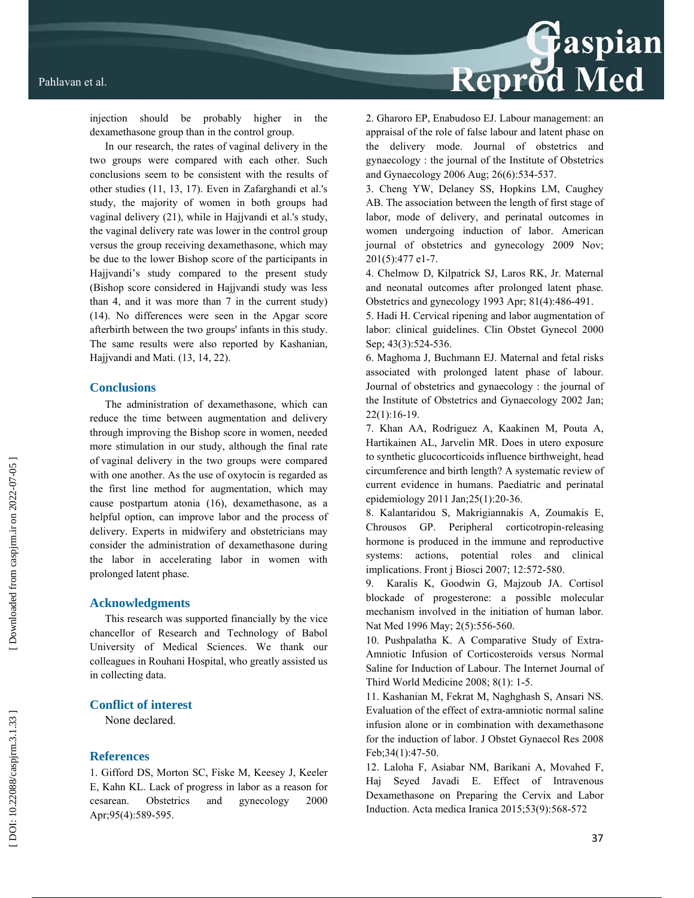

injection should be probably higher in the dexamethasone group than in the control group.

In our research, the rates of vaginal delivery in the two groups were compared with each other. Such conclusions seem to be consistent with the results of other studies (11, 13, 17). Even in Zafarghandi et al.'s study, the majority of women in both groups had vaginal delivery (21), while in Hajjvandi et al.'s study, the vaginal delivery rate was lower in the control group versus the group receiving dexamethasone, which may be due to the lower Bishop score of the participants in Hajjvandi's study compared to the present study (Bishop score considered in Hajjvandi study was less than 4, and it was more than 7 in the current study) (14). No differences were seen in the Apgar score afterbirth between the two groups' infants in this study. The same results were also reported by Kashanian, Hajjvandi and Mati. (13, 14, 22).

#### **Conclusions**

The administration of dexamethasone, which can reduce the time between augmentation and delivery through improving the Bishop score in women, needed more stimulation in our study, although the final rate of vaginal delivery in the two groups were compared with one another. As the use of oxytocin is regarded as the first line method for augmentation, which may cause postpartum atonia (16), dexamethasone, as a helpful option, can improve labor and the process of delivery. Experts in midwifery and obstetricians may consider the administration of dexamethasone during the labor in accelerating labor in women with prolonged latent phase.

#### **Acknowledgments**

This research was supported financially by the vice chancellor of Research and Technology of Babol University of Medical Sciences. We thank our colleagues in Rouhani Hospital, who greatly assisted us in collecting data.

### **Conflict of interest**

None declared.

#### **References**

1. Gifford DS, Morton SC, Fiske M, Keesey J, Keeler E, Kahn KL. Lack of progress in labor as a reason for cesarean. Obstetrics and gynecology 2000 Apr;95(4):589-595.

2. Gharoro EP, Enabudoso EJ. Labour management: an appraisal of the role of false labour and latent phase on the delivery mode. Journal of obstetrics and gynaecology : the journal of the Institute of Obstetrics and Gynaecology 2006 Aug; 26(6):534-537.

3. Cheng YW, Delaney SS, Hopkins LM, Caughey AB. The association between the length of first stage of labor, mode of delivery, and perinatal outcomes in women undergoing induction of labor. American journal of obstetrics and gynecology 2009 Nov; 201(5):477 e1-7.

4. Chelmow D, Kilpatrick SJ, Laros RK, Jr. Maternal and neonatal outcomes after prolonged latent phase. Obstetrics and gynecology 1993 Apr; 81(4):486-491.

5. Hadi H. Cervical ripening and labor augmentation of labor: clinical guidelines. Clin Obstet Gynecol 2000 Sep; 43(3):524-536.

6. Maghoma J, Buchmann EJ. Maternal and fetal risks associated with prolonged latent phase of labour. Journal of obstetrics and gynaecology : the journal of the Institute of Obstetrics and Gynaecology 2002 Jan; 22(1):16-19.

7. Khan AA, Rodriguez A, Kaakinen M, Pouta A, Hartikainen AL, Jarvelin MR. Does in utero exposure to synthetic glucocorticoids influence birthweight, head circumference and birth length? A systematic review of current evidence in humans. Paediatric and perinatal epidemiology 2011 Jan;25(1):20-36.

8. Kalantaridou S, Makrigiannakis A, Zoumakis E, Chrousos GP. Peripheral corticotropin-releasing hormone is produced in the immune and reproductive systems: actions, potential roles and clinical implications. Front j Biosci 2007; 12:572-580.

9. Karalis K, Goodwin G, Majzoub JA. Cortisol blockade of progesterone: a possible molecular mechanism involved in the initiation of human labor. Nat Med 1996 May; 2(5):556-560.

10. Pushpalatha K. A Comparative Study of Extra-Amniotic Infusion of Corticosteroids versus Normal Saline for Induction of Labour. The Internet Journal of Third World Medicine 2008; 8(1): 1-5.

11. Kashanian M, Fekrat M, Naghghash S, Ansari NS. Evaluation of the effect of extra-amniotic normal saline infusion alone or in combination with dexamethasone for the induction of labor. J Obstet Gynaecol Res 2008 Feb;34(1):47-50.

12. Laloha F, Asiabar NM, Barikani A, Movahed F, Haj Seyed Javadi E. Effect of Intravenous Dexamethasone on Preparing the Cervix and Labor Induction. Acta medica Iranica 2015;53(9):568-572